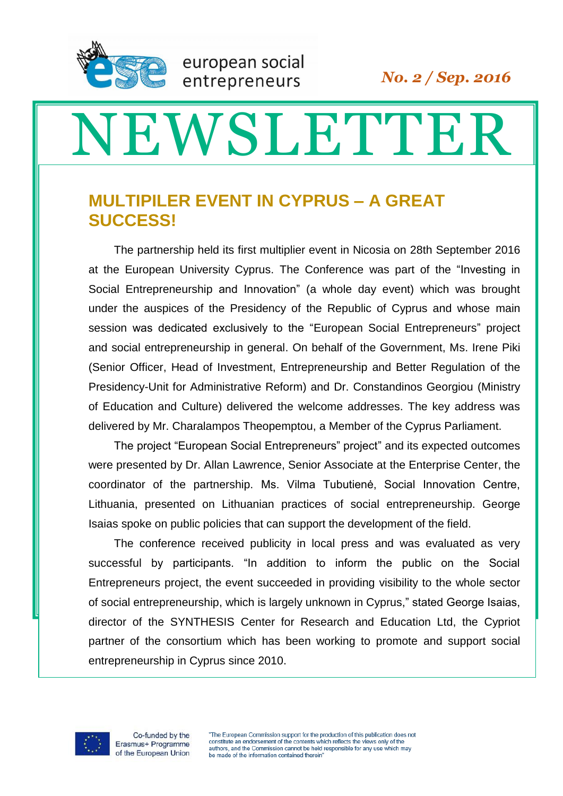

## NEWSLETTER

## **MULTIPILER EVENT IN CYPRUS – A GREAT SUCCESS!**

european social

entrepreneurs

The partnership held its first multiplier event in Nicosia on 28th September 2016 at the European University Cyprus. The Conference was part of the "Investing in Social Entrepreneurship and Innovation" (a whole day event) which was brought under the auspices of the Presidency of the Republic of Cyprus and whose main session was dedicated exclusively to the "European Social Entrepreneurs" project and social entrepreneurship in general. On behalf of the Government, Ms. Irene Piki (Senior Officer, Head of Investment, Entrepreneurship and Better Regulation of the Presidency-Unit for Administrative Reform) and Dr. Constandinos Georgiou (Ministry of Education and Culture) delivered the welcome addresses. The key address was delivered by Mr. Charalampos Theopemptou, a Member of the Cyprus Parliament.

The project "European Social Entrepreneurs" project" and its expected outcomes were presented by Dr. Allan Lawrence, Senior Associate at the Enterprise Center, the coordinator of the partnership. Ms. Vilma Tubutienė, Social Innovation Centre, Lithuania, presented on Lithuanian practices of social entrepreneurship. George Isaias spoke on public policies that can support the development of the field.

The conference received publicity in local press and was evaluated as very successful by participants. "In addition to inform the public on the Social Entrepreneurs project, the event succeeded in providing visibility to the whole sector of social entrepreneurship, which is largely unknown in Cyprus," stated George Isaias, director of the SYNTHESIS Center for Research and Education Ltd, the Cypriot partner of the consortium which has been working to promote and support social entrepreneurship in Cyprus since 2010.